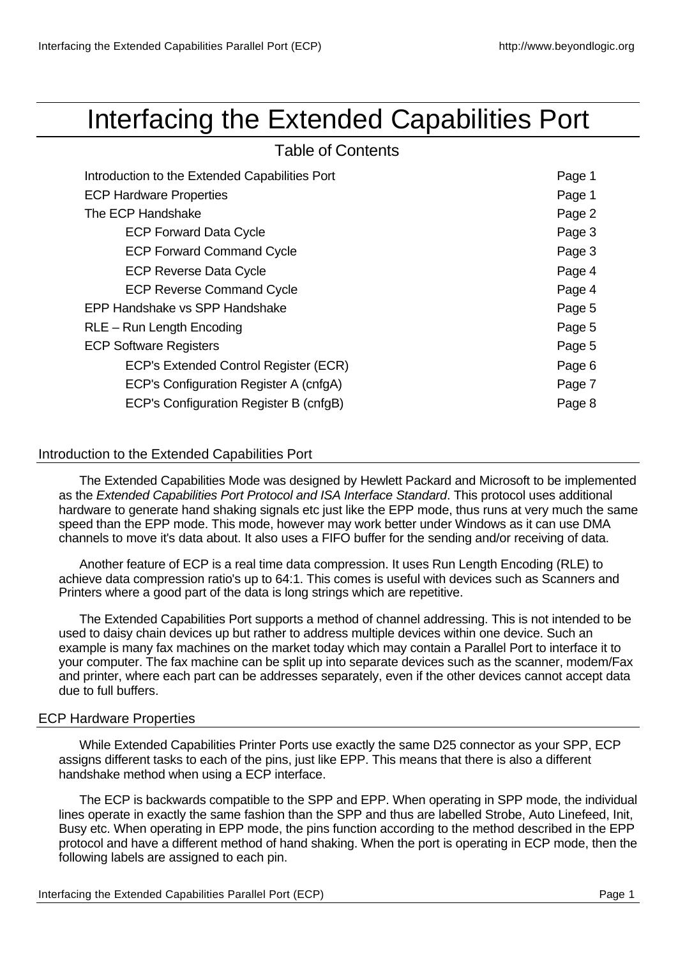# Interfacing the Extended Capabilities Port

## Table of Contents

| Introduction to the Extended Capabilities Port | Page 1 |
|------------------------------------------------|--------|
| <b>ECP Hardware Properties</b>                 | Page 1 |
| The ECP Handshake                              | Page 2 |
| <b>ECP Forward Data Cycle</b>                  | Page 3 |
| <b>ECP Forward Command Cycle</b>               | Page 3 |
| <b>ECP Reverse Data Cycle</b>                  | Page 4 |
| <b>ECP Reverse Command Cycle</b>               | Page 4 |
| EPP Handshake vs SPP Handshake                 | Page 5 |
| RLE - Run Length Encoding                      | Page 5 |
| <b>ECP Software Registers</b>                  | Page 5 |
| ECP's Extended Control Register (ECR)          | Page 6 |
| ECP's Configuration Register A (cnfgA)         | Page 7 |
| ECP's Configuration Register B (cnfgB)         | Page 8 |
|                                                |        |

## Introduction to the Extended Capabilities Port

The Extended Capabilities Mode was designed by Hewlett Packard and Microsoft to be implemented as the *Extended Capabilities Port Protocol and ISA Interface Standard*. This protocol uses additional hardware to generate hand shaking signals etc just like the EPP mode, thus runs at very much the same speed than the EPP mode. This mode, however may work better under Windows as it can use DMA channels to move it's data about. It also uses a FIFO buffer for the sending and/or receiving of data.

Another feature of ECP is a real time data compression. It uses Run Length Encoding (RLE) to achieve data compression ratio's up to 64:1. This comes is useful with devices such as Scanners and Printers where a good part of the data is long strings which are repetitive.

The Extended Capabilities Port supports a method of channel addressing. This is not intended to be used to daisy chain devices up but rather to address multiple devices within one device. Such an example is many fax machines on the market today which may contain a Parallel Port to interface it to your computer. The fax machine can be split up into separate devices such as the scanner, modem/Fax and printer, where each part can be addresses separately, even if the other devices cannot accept data due to full buffers.

## ECP Hardware Properties

While Extended Capabilities Printer Ports use exactly the same D25 connector as your SPP, ECP assigns different tasks to each of the pins, just like EPP. This means that there is also a different handshake method when using a ECP interface.

The ECP is backwards compatible to the SPP and EPP. When operating in SPP mode, the individual lines operate in exactly the same fashion than the SPP and thus are labelled Strobe, Auto Linefeed, Init, Busy etc. When operating in EPP mode, the pins function according to the method described in the EPP protocol and have a different method of hand shaking. When the port is operating in ECP mode, then the following labels are assigned to each pin.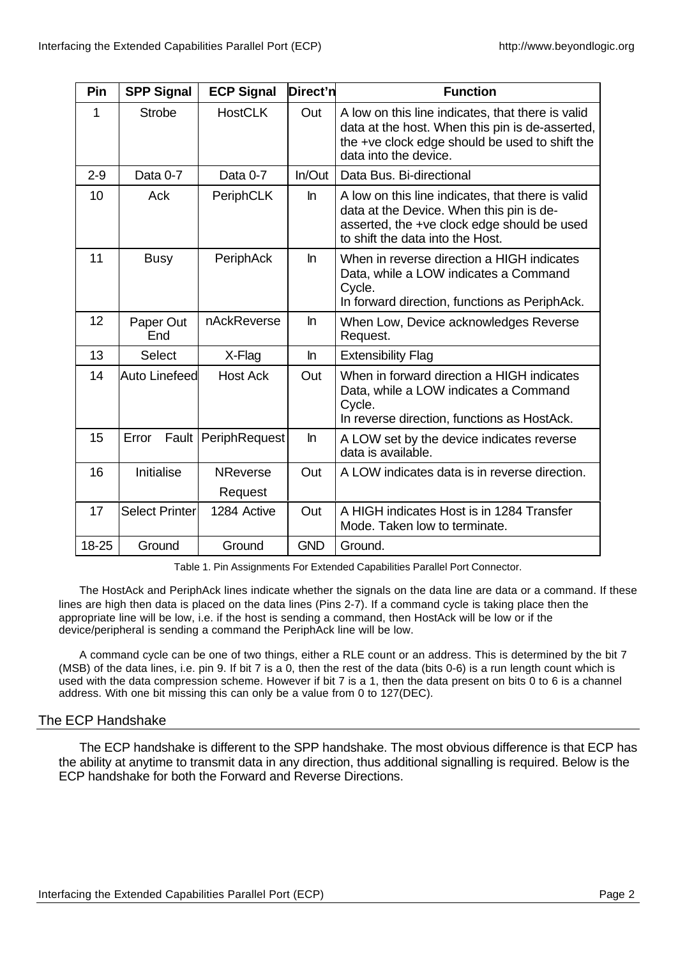| Pin     | <b>SPP Signal</b>     | <b>ECP Signal</b>          | Direct'n   | <b>Function</b>                                                                                                                                                                  |
|---------|-----------------------|----------------------------|------------|----------------------------------------------------------------------------------------------------------------------------------------------------------------------------------|
| 1       | <b>Strobe</b>         | <b>HostCLK</b>             | Out        | A low on this line indicates, that there is valid<br>data at the host. When this pin is de-asserted,<br>the +ve clock edge should be used to shift the<br>data into the device.  |
| $2 - 9$ | Data 0-7              | Data 0-7                   | In/Out     | Data Bus. Bi-directional                                                                                                                                                         |
| 10      | Ack                   | PeriphCLK                  | In         | A low on this line indicates, that there is valid<br>data at the Device. When this pin is de-<br>asserted, the +ve clock edge should be used<br>to shift the data into the Host. |
| 11      | <b>Busy</b>           | PeriphAck                  | $\ln$      | When in reverse direction a HIGH indicates<br>Data, while a LOW indicates a Command<br>Cycle.<br>In forward direction, functions as PeriphAck.                                   |
| 12      | Paper Out<br>End      | nAckReverse                | $\ln$      | When Low, Device acknowledges Reverse<br>Request.                                                                                                                                |
| 13      | <b>Select</b>         | X-Flag                     | $\ln$      | <b>Extensibility Flag</b>                                                                                                                                                        |
| 14      | <b>Auto Linefeed</b>  | <b>Host Ack</b>            | Out        | When in forward direction a HIGH indicates<br>Data, while a LOW indicates a Command<br>Cycle.<br>In reverse direction, functions as HostAck.                                     |
| 15      | Error<br><b>Fault</b> | PeriphRequest              | $\ln$      | A LOW set by the device indicates reverse<br>data is available.                                                                                                                  |
| 16      | Initialise            | <b>NReverse</b><br>Request | Out        | A LOW indicates data is in reverse direction.                                                                                                                                    |
| 17      | <b>Select Printer</b> | 1284 Active                | Out        | A HIGH indicates Host is in 1284 Transfer<br>Mode. Taken low to terminate.                                                                                                       |
| 18-25   | Ground                | Ground                     | <b>GND</b> | Ground.                                                                                                                                                                          |

Table 1. Pin Assignments For Extended Capabilities Parallel Port Connector.

The HostAck and PeriphAck lines indicate whether the signals on the data line are data or a command. If these lines are high then data is placed on the data lines (Pins 2-7). If a command cycle is taking place then the appropriate line will be low, i.e. if the host is sending a command, then HostAck will be low or if the device/peripheral is sending a command the PeriphAck line will be low.

A command cycle can be one of two things, either a RLE count or an address. This is determined by the bit 7 (MSB) of the data lines, i.e. pin 9. If bit 7 is a 0, then the rest of the data (bits 0-6) is a run length count which is used with the data compression scheme. However if bit 7 is a 1, then the data present on bits 0 to 6 is a channel address. With one bit missing this can only be a value from 0 to 127(DEC).

## The ECP Handshake

The ECP handshake is different to the SPP handshake. The most obvious difference is that ECP has the ability at anytime to transmit data in any direction, thus additional signalling is required. Below is the ECP handshake for both the Forward and Reverse Directions.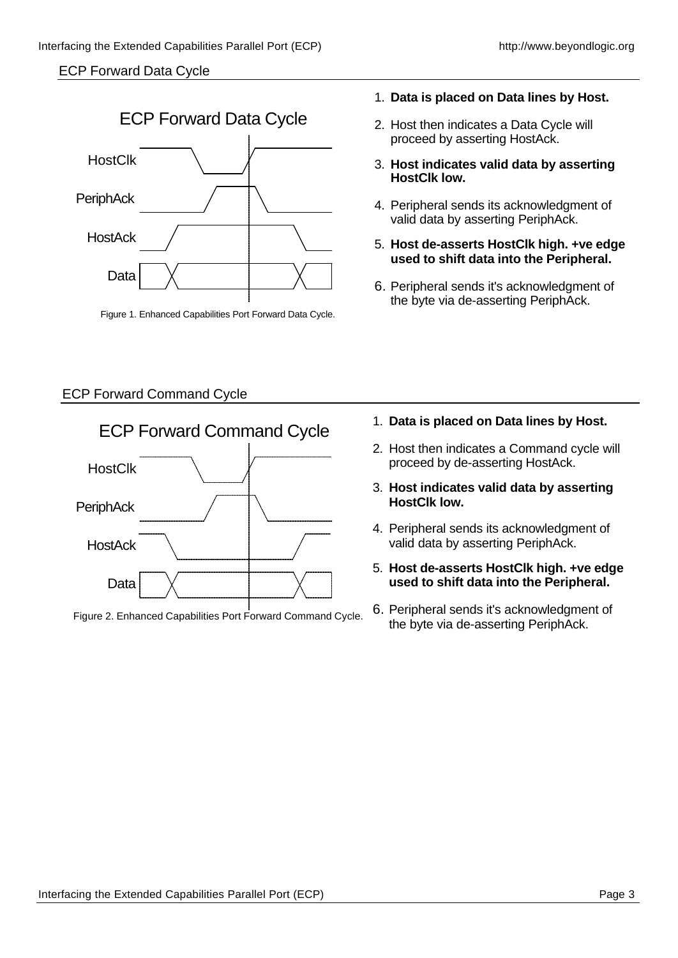## ECP Forward Data Cycle



Figure 1. Enhanced Capabilities Port Forward Data Cycle.

## ECP Forward Command Cycle



## 1. **Data is placed on Data lines by Host.**

- 2. Host then indicates a Data Cycle will proceed by asserting HostAck.
- 3. **Host indicates valid data by asserting HostClk low.**
- 4. Peripheral sends its acknowledgment of valid data by asserting PeriphAck.
- 5. **Host de-asserts HostClk high. +ve edge used to shift data into the Peripheral.**
- 6. Peripheral sends it's acknowledgment of the byte via de-asserting PeriphAck.

- 1. **Data is placed on Data lines by Host.**
- 2. Host then indicates a Command cycle will proceed by de-asserting HostAck.
- 3. **Host indicates valid data by asserting HostClk low.**
- 4. Peripheral sends its acknowledgment of valid data by asserting PeriphAck.
- 5. **Host de-asserts HostClk high. +ve edge used to shift data into the Peripheral.**
- 6. Peripheral sends it's acknowledgment of the byte via de-asserting PeriphAck.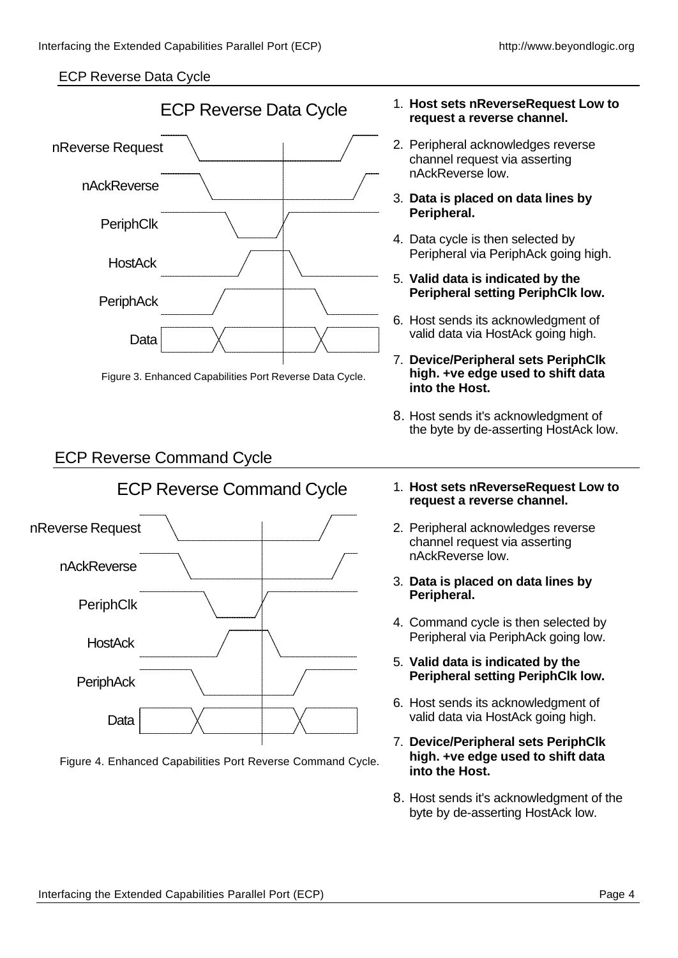## ECP Reverse Data Cycle



Figure 3. Enhanced Capabilities Port Reverse Data Cycle.

ECP Reverse Command Cycle

## ECP Reverse Command Cycle



Figure 4. Enhanced Capabilities Port Reverse Command Cycle.

#### 1. **Host sets nReverseRequest Low to request a reverse channel.**

- 2. Peripheral acknowledges reverse channel request via asserting nAckReverse low.
- 3. **Data is placed on data lines by Peripheral.**
- 4. Data cycle is then selected by Peripheral via PeriphAck going high.
- 5. **Valid data is indicated by the Peripheral setting PeriphClk low.**
- 6. Host sends its acknowledgment of valid data via HostAck going high.
- 7. **Device/Peripheral sets PeriphClk high. +ve edge used to shift data into the Host.**
- 8. Host sends it's acknowledgment of the byte by de-asserting HostAck low.
- 1. **Host sets nReverseRequest Low to request a reverse channel.**
- 2. Peripheral acknowledges reverse channel request via asserting nAckReverse low.
- 3. **Data is placed on data lines by Peripheral.**
- 4. Command cycle is then selected by Peripheral via PeriphAck going low.
- 5. **Valid data is indicated by the Peripheral setting PeriphClk low.**
- 6. Host sends its acknowledgment of valid data via HostAck going high.
- 7. **Device/Peripheral sets PeriphClk high. +ve edge used to shift data into the Host.**
- 8. Host sends it's acknowledgment of the byte by de-asserting HostAck low.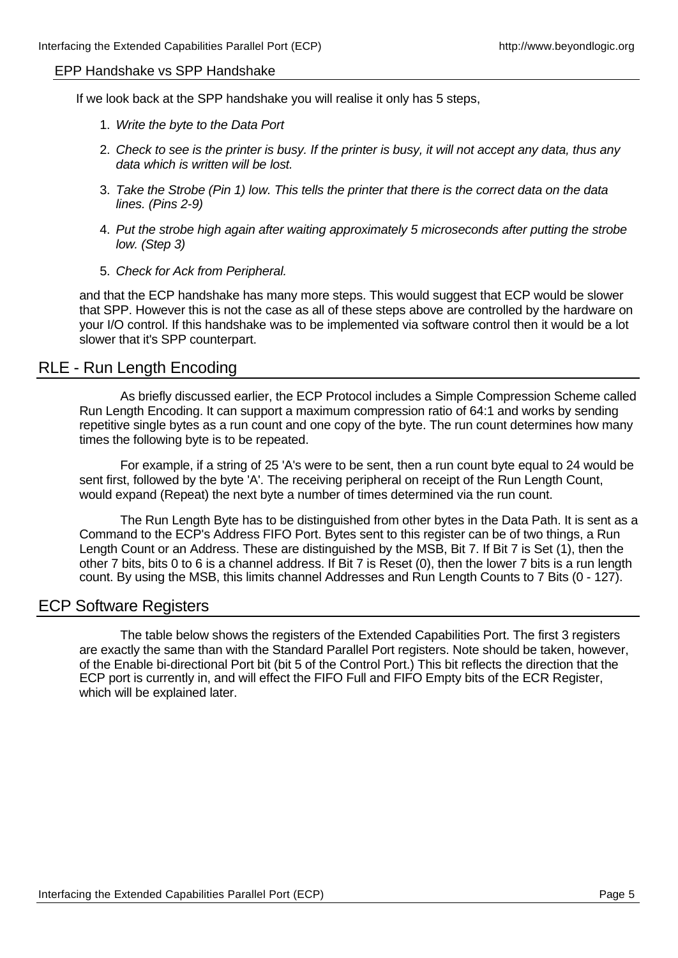#### EPP Handshake vs SPP Handshake

If we look back at the SPP handshake you will realise it only has 5 steps,

- 1. *Write the byte to the Data Port*
- 2. *Check to see is the printer is busy. If the printer is busy, it will not accept any data, thus any data which is written will be lost.*
- 3. *Take the Strobe (Pin 1) low. This tells the printer that there is the correct data on the data lines. (Pins 2-9)*
- 4. *Put the strobe high again after waiting approximately 5 microseconds after putting the strobe low. (Step 3)*
- 5. *Check for Ack from Peripheral.*

and that the ECP handshake has many more steps. This would suggest that ECP would be slower that SPP. However this is not the case as all of these steps above are controlled by the hardware on your I/O control. If this handshake was to be implemented via software control then it would be a lot slower that it's SPP counterpart.

## RLE - Run Length Encoding

As briefly discussed earlier, the ECP Protocol includes a Simple Compression Scheme called Run Length Encoding. It can support a maximum compression ratio of 64:1 and works by sending repetitive single bytes as a run count and one copy of the byte. The run count determines how many times the following byte is to be repeated.

For example, if a string of 25 'A's were to be sent, then a run count byte equal to 24 would be sent first, followed by the byte 'A'. The receiving peripheral on receipt of the Run Length Count, would expand (Repeat) the next byte a number of times determined via the run count.

The Run Length Byte has to be distinguished from other bytes in the Data Path. It is sent as a Command to the ECP's Address FIFO Port. Bytes sent to this register can be of two things, a Run Length Count or an Address. These are distinguished by the MSB, Bit 7. If Bit 7 is Set (1), then the other 7 bits, bits 0 to 6 is a channel address. If Bit 7 is Reset (0), then the lower 7 bits is a run length count. By using the MSB, this limits channel Addresses and Run Length Counts to 7 Bits (0 - 127).

## ECP Software Registers

The table below shows the registers of the Extended Capabilities Port. The first 3 registers are exactly the same than with the Standard Parallel Port registers. Note should be taken, however, of the Enable bi-directional Port bit (bit 5 of the Control Port.) This bit reflects the direction that the ECP port is currently in, and will effect the FIFO Full and FIFO Empty bits of the ECR Register, which will be explained later.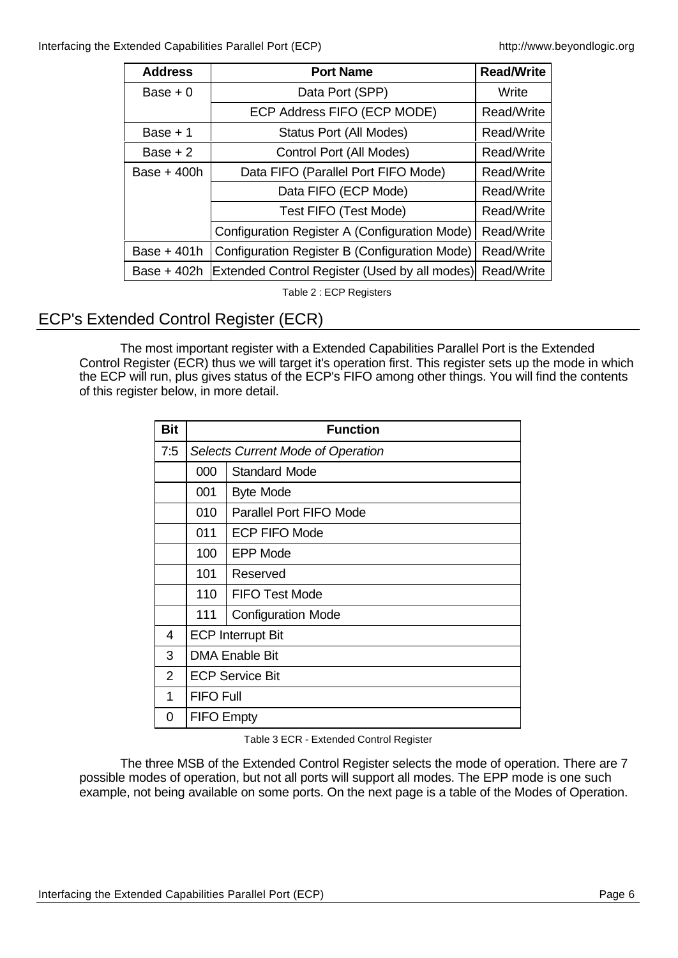| <b>Address</b> | <b>Port Name</b>                              | <b>Read/Write</b> |
|----------------|-----------------------------------------------|-------------------|
| Base $+0$      | Data Port (SPP)                               | Write             |
|                | ECP Address FIFO (ECP MODE)                   | Read/Write        |
| Base $+1$      | Status Port (All Modes)                       | Read/Write        |
| Base $+2$      | Control Port (All Modes)                      | Read/Write        |
| Base + 400h    | Data FIFO (Parallel Port FIFO Mode)           | Read/Write        |
|                | Data FIFO (ECP Mode)                          | Read/Write        |
|                | <b>Test FIFO (Test Mode)</b>                  | Read/Write        |
|                | Configuration Register A (Configuration Mode) | Read/Write        |
| Base + 401h    | Configuration Register B (Configuration Mode) | Read/Write        |
| Base + 402h    | Extended Control Register (Used by all modes) | Read/Write        |

Table 2 : ECP Registers

## ECP's Extended Control Register (ECR)

The most important register with a Extended Capabilities Parallel Port is the Extended Control Register (ECR) thus we will target it's operation first. This register sets up the mode in which the ECP will run, plus gives status of the ECP's FIFO among other things. You will find the contents of this register below, in more detail.

| <b>Bit</b>     | <b>Function</b>                          |                           |  |
|----------------|------------------------------------------|---------------------------|--|
| 7:5            | <b>Selects Current Mode of Operation</b> |                           |  |
|                | 000<br><b>Standard Mode</b>              |                           |  |
|                | 001                                      | <b>Byte Mode</b>          |  |
|                | <b>Parallel Port FIFO Mode</b><br>010    |                           |  |
|                | 011                                      | <b>ECP FIFO Mode</b>      |  |
|                | 100                                      | <b>EPP Mode</b>           |  |
|                | 101                                      | Reserved                  |  |
|                | 110                                      | <b>FIFO Test Mode</b>     |  |
|                | 111                                      | <b>Configuration Mode</b> |  |
| 4              | <b>ECP Interrupt Bit</b>                 |                           |  |
| 3              | <b>DMA Enable Bit</b>                    |                           |  |
| $\overline{2}$ | <b>ECP Service Bit</b>                   |                           |  |
| 1              | <b>FIFO Full</b>                         |                           |  |
| Ω              | <b>FIFO Empty</b>                        |                           |  |

Table 3 ECR - Extended Control Register

The three MSB of the Extended Control Register selects the mode of operation. There are 7 possible modes of operation, but not all ports will support all modes. The EPP mode is one such example, not being available on some ports. On the next page is a table of the Modes of Operation.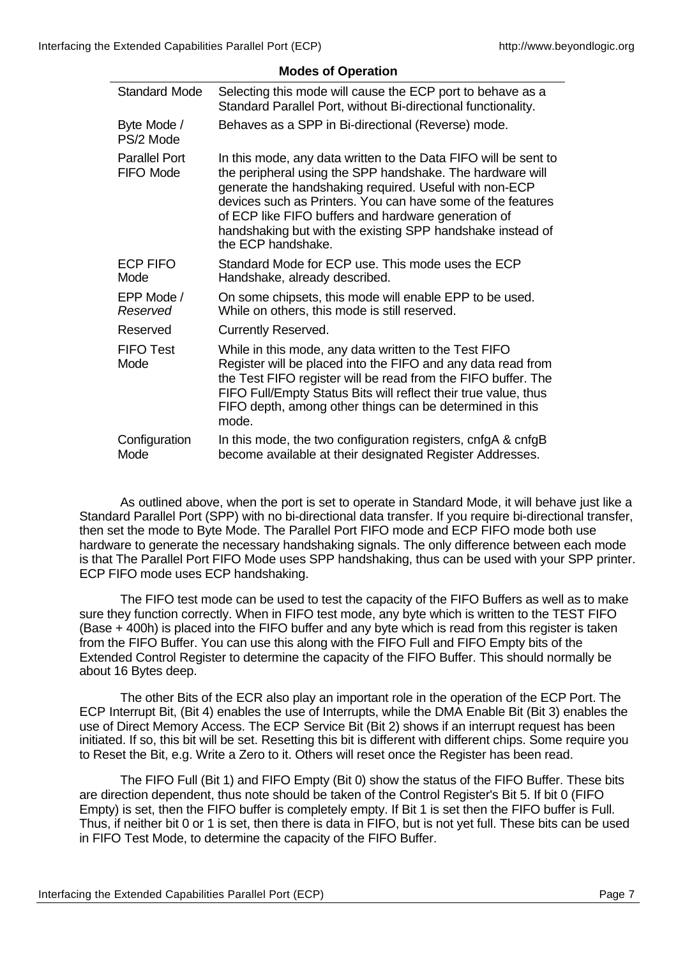| <b>Modes of Operation</b>         |                                                                                                                                                                                                                                                                                                                                                                                                  |  |
|-----------------------------------|--------------------------------------------------------------------------------------------------------------------------------------------------------------------------------------------------------------------------------------------------------------------------------------------------------------------------------------------------------------------------------------------------|--|
| <b>Standard Mode</b>              | Selecting this mode will cause the ECP port to behave as a<br>Standard Parallel Port, without Bi-directional functionality.                                                                                                                                                                                                                                                                      |  |
| Byte Mode /<br>PS/2 Mode          | Behaves as a SPP in Bi-directional (Reverse) mode.                                                                                                                                                                                                                                                                                                                                               |  |
| <b>Parallel Port</b><br>FIFO Mode | In this mode, any data written to the Data FIFO will be sent to<br>the peripheral using the SPP handshake. The hardware will<br>generate the handshaking required. Useful with non-ECP<br>devices such as Printers. You can have some of the features<br>of ECP like FIFO buffers and hardware generation of<br>handshaking but with the existing SPP handshake instead of<br>the ECP handshake. |  |
| <b>ECP FIFO</b><br>Mode           | Standard Mode for ECP use. This mode uses the ECP<br>Handshake, already described.                                                                                                                                                                                                                                                                                                               |  |
| EPP Mode /<br>Reserved            | On some chipsets, this mode will enable EPP to be used.<br>While on others, this mode is still reserved.                                                                                                                                                                                                                                                                                         |  |
| Reserved                          | <b>Currently Reserved.</b>                                                                                                                                                                                                                                                                                                                                                                       |  |
| <b>FIFO</b> Test<br>Mode          | While in this mode, any data written to the Test FIFO<br>Register will be placed into the FIFO and any data read from<br>the Test FIFO register will be read from the FIFO buffer. The<br>FIFO Full/Empty Status Bits will reflect their true value, thus<br>FIFO depth, among other things can be determined in this<br>mode.                                                                   |  |
| Configuration<br>Mode             | In this mode, the two configuration registers, cnfgA & cnfgB<br>become available at their designated Register Addresses.                                                                                                                                                                                                                                                                         |  |

As outlined above, when the port is set to operate in Standard Mode, it will behave just like a Standard Parallel Port (SPP) with no bi-directional data transfer. If you require bi-directional transfer, then set the mode to Byte Mode. The Parallel Port FIFO mode and ECP FIFO mode both use hardware to generate the necessary handshaking signals. The only difference between each mode is that The Parallel Port FIFO Mode uses SPP handshaking, thus can be used with your SPP printer. ECP FIFO mode uses ECP handshaking.

The FIFO test mode can be used to test the capacity of the FIFO Buffers as well as to make sure they function correctly. When in FIFO test mode, any byte which is written to the TEST FIFO (Base + 400h) is placed into the FIFO buffer and any byte which is read from this register is taken from the FIFO Buffer. You can use this along with the FIFO Full and FIFO Empty bits of the Extended Control Register to determine the capacity of the FIFO Buffer. This should normally be about 16 Bytes deep.

The other Bits of the ECR also play an important role in the operation of the ECP Port. The ECP Interrupt Bit, (Bit 4) enables the use of Interrupts, while the DMA Enable Bit (Bit 3) enables the use of Direct Memory Access. The ECP Service Bit (Bit 2) shows if an interrupt request has been initiated. If so, this bit will be set. Resetting this bit is different with different chips. Some require you to Reset the Bit, e.g. Write a Zero to it. Others will reset once the Register has been read.

The FIFO Full (Bit 1) and FIFO Empty (Bit 0) show the status of the FIFO Buffer. These bits are direction dependent, thus note should be taken of the Control Register's Bit 5. If bit 0 (FIFO Empty) is set, then the FIFO buffer is completely empty. If Bit 1 is set then the FIFO buffer is Full. Thus, if neither bit 0 or 1 is set, then there is data in FIFO, but is not yet full. These bits can be used in FIFO Test Mode, to determine the capacity of the FIFO Buffer.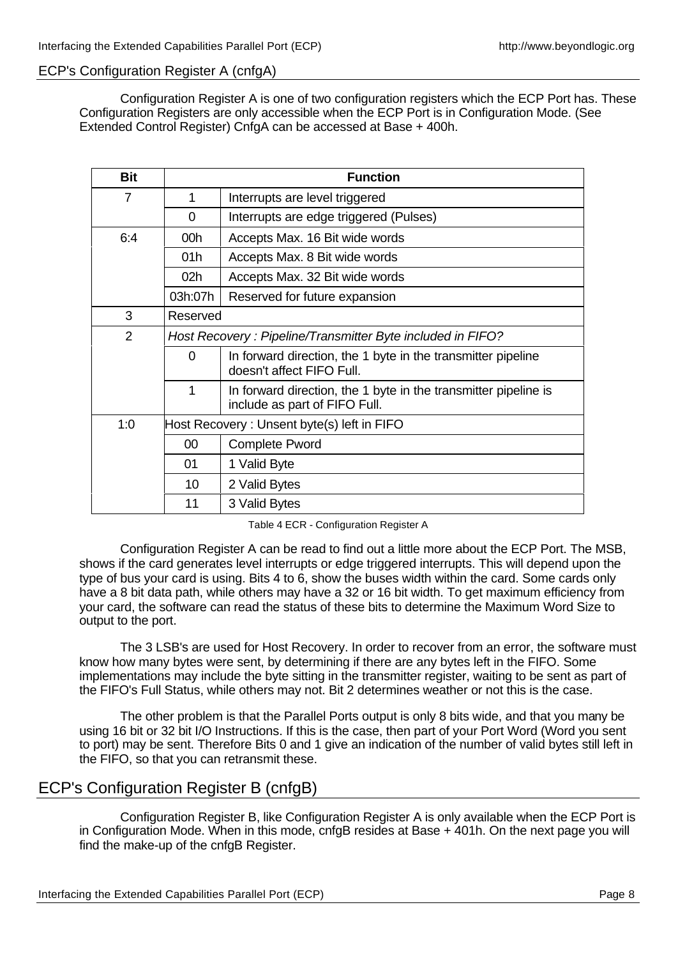## ECP's Configuration Register A (cnfgA)

Configuration Register A is one of two configuration registers which the ECP Port has. These Configuration Registers are only accessible when the ECP Port is in Configuration Mode. (See Extended Control Register) CnfgA can be accessed at Base + 400h.

| <b>Bit</b>     | <b>Function</b>                            |                                                                                                  |  |
|----------------|--------------------------------------------|--------------------------------------------------------------------------------------------------|--|
| $\overline{7}$ | 1                                          | Interrupts are level triggered                                                                   |  |
|                | $\overline{0}$                             | Interrupts are edge triggered (Pulses)                                                           |  |
| 6:4            | 00h                                        | Accepts Max. 16 Bit wide words                                                                   |  |
|                | 01h                                        | Accepts Max. 8 Bit wide words                                                                    |  |
|                | 02h                                        | Accepts Max. 32 Bit wide words                                                                   |  |
|                | 03h:07h                                    | Reserved for future expansion                                                                    |  |
| 3              |                                            | Reserved                                                                                         |  |
| $\overline{2}$ |                                            | Host Recovery: Pipeline/Transmitter Byte included in FIFO?                                       |  |
|                | $\Omega$                                   | In forward direction, the 1 byte in the transmitter pipeline<br>doesn't affect FIFO Full.        |  |
|                | 1                                          | In forward direction, the 1 byte in the transmitter pipeline is<br>include as part of FIFO Full. |  |
| 1:0            | Host Recovery: Unsent byte(s) left in FIFO |                                                                                                  |  |
|                | $00\,$                                     | <b>Complete Pword</b>                                                                            |  |
|                | 01                                         | 1 Valid Byte                                                                                     |  |
|                | 10                                         | 2 Valid Bytes                                                                                    |  |
|                | 11                                         | 3 Valid Bytes                                                                                    |  |

Table 4 ECR - Configuration Register A

Configuration Register A can be read to find out a little more about the ECP Port. The MSB, shows if the card generates level interrupts or edge triggered interrupts. This will depend upon the type of bus your card is using. Bits 4 to 6, show the buses width within the card. Some cards only have a 8 bit data path, while others may have a 32 or 16 bit width. To get maximum efficiency from your card, the software can read the status of these bits to determine the Maximum Word Size to output to the port.

The 3 LSB's are used for Host Recovery. In order to recover from an error, the software must know how many bytes were sent, by determining if there are any bytes left in the FIFO. Some implementations may include the byte sitting in the transmitter register, waiting to be sent as part of the FIFO's Full Status, while others may not. Bit 2 determines weather or not this is the case.

The other problem is that the Parallel Ports output is only 8 bits wide, and that you many be using 16 bit or 32 bit I/O Instructions. If this is the case, then part of your Port Word (Word you sent to port) may be sent. Therefore Bits 0 and 1 give an indication of the number of valid bytes still left in the FIFO, so that you can retransmit these.

## ECP's Configuration Register B (cnfgB)

Configuration Register B, like Configuration Register A is only available when the ECP Port is in Configuration Mode. When in this mode, cnfgB resides at Base + 401h. On the next page you will find the make-up of the cnfgB Register.